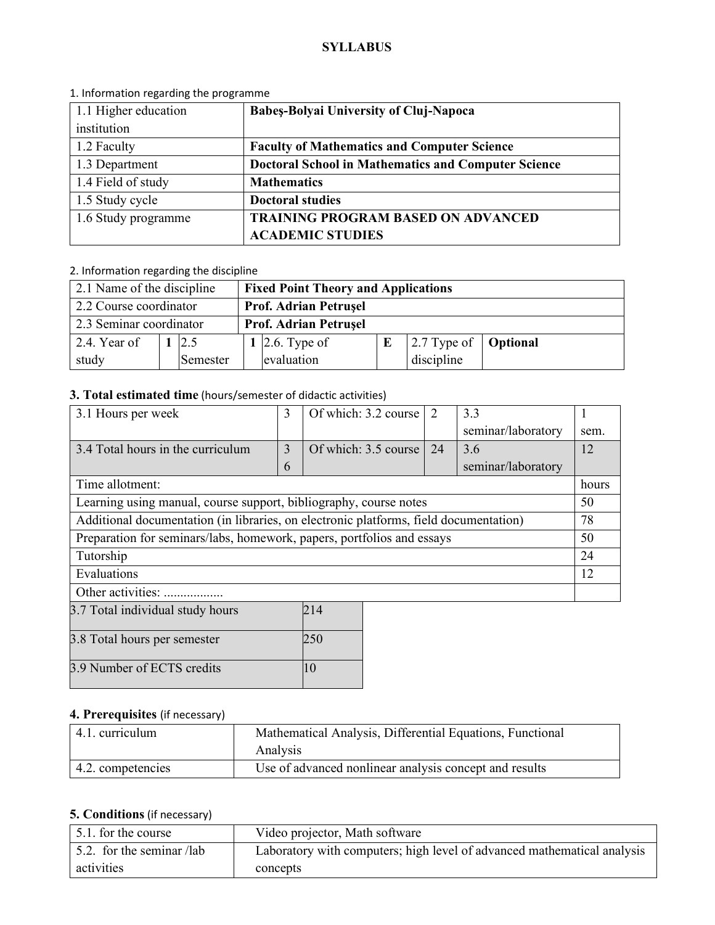#### **SYLLABUS**

| 1.1 Higher education | <b>Babes-Bolyai University of Cluj-Napoca</b>              |  |  |
|----------------------|------------------------------------------------------------|--|--|
| institution          |                                                            |  |  |
| 1.2 Faculty          | <b>Faculty of Mathematics and Computer Science</b>         |  |  |
| 1.3 Department       | <b>Doctoral School in Mathematics and Computer Science</b> |  |  |
| 1.4 Field of study   | <b>Mathematics</b>                                         |  |  |
| 1.5 Study cycle      | <b>Doctoral studies</b>                                    |  |  |
| 1.6 Study programme  | <b>TRAINING PROGRAM BASED ON ADVANCED</b>                  |  |  |
|                      | <b>ACADEMIC STUDIES</b>                                    |  |  |

#### 1. Information regarding the programme

## 2. Information regarding the discipline

| 2.1 Name of the discipline |  |                              | <b>Fixed Point Theory and Applications</b> |                |  |                                             |  |
|----------------------------|--|------------------------------|--------------------------------------------|----------------|--|---------------------------------------------|--|
| 2.2 Course coordinator     |  | <b>Prof. Adrian Petrusel</b> |                                            |                |  |                                             |  |
| 2.3 Seminar coordinator    |  |                              | <b>Prof. Adrian Petrusel</b>               |                |  |                                             |  |
| 2.4. Year of               |  | 12.5                         |                                            | 1 2.6. Type of |  | $\vert$ 2.7 Type of $\vert$ <b>Optional</b> |  |
| study                      |  | Semester                     |                                            | evaluation     |  | discipline                                  |  |

# **3. Total estimated time** (hours/semester of didactic activities)

| 3.1 Hours per week                                                                    | 3 | Of which: 3.2 course | 2  | 3.3                |       |
|---------------------------------------------------------------------------------------|---|----------------------|----|--------------------|-------|
|                                                                                       |   |                      |    | seminar/laboratory | sem.  |
| 3.4 Total hours in the curriculum                                                     | 3 | Of which: 3.5 course | 24 | 3.6                | 12    |
|                                                                                       | 6 |                      |    | seminar/laboratory |       |
| Time allotment:                                                                       |   |                      |    |                    | hours |
| Learning using manual, course support, bibliography, course notes                     |   |                      |    |                    |       |
| Additional documentation (in libraries, on electronic platforms, field documentation) |   |                      |    |                    |       |
| Preparation for seminars/labs, homework, papers, portfolios and essays                |   |                      |    |                    | 50    |
| Tutorship                                                                             |   |                      |    |                    |       |
| Evaluations                                                                           |   |                      |    |                    | 12    |
| Other activities:                                                                     |   |                      |    |                    |       |
| 3.7 Total individual study hours<br>214                                               |   |                      |    |                    |       |

| 3.8 Total hours per semester |  |
|------------------------------|--|
| 3.9 Number of ECTS credits   |  |

# **4. Prerequisites** (if necessary)

| 4.1. curriculum   | Mathematical Analysis, Differential Equations, Functional<br>Analysis |
|-------------------|-----------------------------------------------------------------------|
| 4.2. competencies | Use of advanced nonlinear analysis concept and results                |

## **5. Conditions** (if necessary)

| 5.1. for the course       | Video projector, Math software                                          |
|---------------------------|-------------------------------------------------------------------------|
| 5.2. for the seminar /lab | Laboratory with computers; high level of advanced mathematical analysis |
| activities                | concepts                                                                |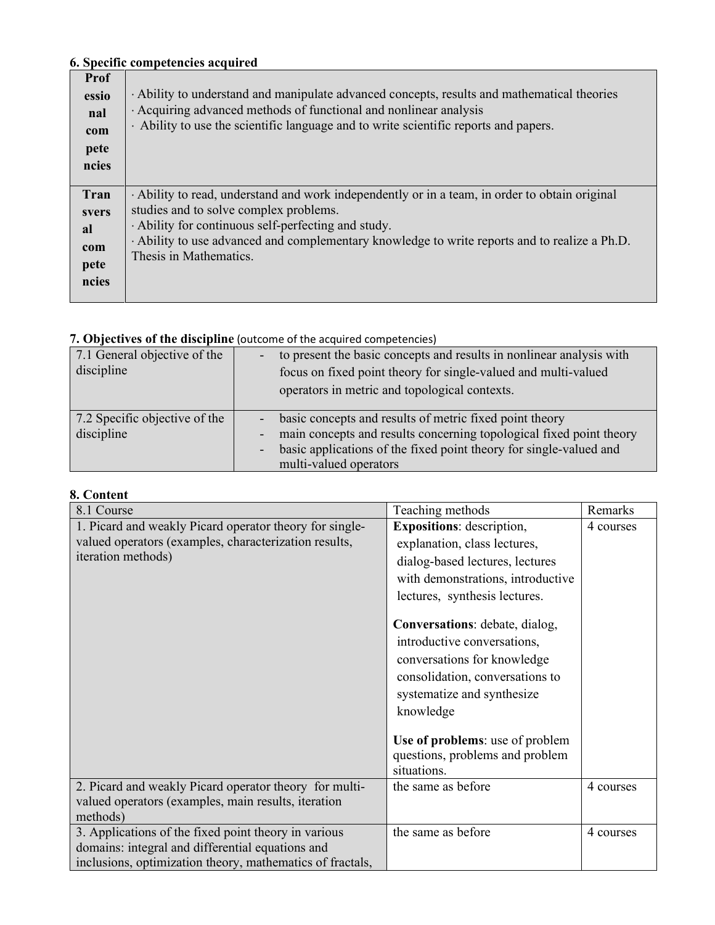### **6. Specific competencies acquired**

| Prof<br>essio<br>nal<br>com<br>pete<br>ncies       | Ability to understand and manipulate advanced concepts, results and mathematical theories<br>Acquiring advanced methods of functional and nonlinear analysis<br>Ability to use the scientific language and to write scientific reports and papers.                                                                       |
|----------------------------------------------------|--------------------------------------------------------------------------------------------------------------------------------------------------------------------------------------------------------------------------------------------------------------------------------------------------------------------------|
| Tran<br><i>svers</i><br>al<br>com<br>pete<br>ncies | Ability to read, understand and work independently or in a team, in order to obtain original<br>studies and to solve complex problems.<br>· Ability for continuous self-perfecting and study.<br>· Ability to use advanced and complementary knowledge to write reports and to realize a Ph.D.<br>Thesis in Mathematics. |

# **7. Objectives of the discipline** (outcome of the acquired competencies)

| 7.1 General objective of the<br>discipline  |                                                          | to present the basic concepts and results in nonlinear analysis with<br>focus on fixed point theory for single-valued and multi-valued<br>operators in metric and topological contexts.                                        |
|---------------------------------------------|----------------------------------------------------------|--------------------------------------------------------------------------------------------------------------------------------------------------------------------------------------------------------------------------------|
| 7.2 Specific objective of the<br>discipline | $\qquad \qquad \blacksquare$<br>$\overline{\phantom{a}}$ | basic concepts and results of metric fixed point theory<br>main concepts and results concerning topological fixed point theory<br>basic applications of the fixed point theory for single-valued and<br>multi-valued operators |

### **8. Content**

| 8.1 Course                                                                                                                                                            | Teaching methods                                                                                                                                                           | Remarks   |
|-----------------------------------------------------------------------------------------------------------------------------------------------------------------------|----------------------------------------------------------------------------------------------------------------------------------------------------------------------------|-----------|
| 1. Picard and weakly Picard operator theory for single-<br>valued operators (examples, characterization results,<br>iteration methods)                                | <b>Expositions:</b> description,<br>explanation, class lectures,<br>dialog-based lectures, lectures<br>with demonstrations, introductive<br>lectures, synthesis lectures.  | 4 courses |
|                                                                                                                                                                       | Conversations: debate, dialog,<br>introductive conversations,<br>conversations for knowledge<br>consolidation, conversations to<br>systematize and synthesize<br>knowledge |           |
|                                                                                                                                                                       | Use of problems: use of problem<br>questions, problems and problem<br>situations.                                                                                          |           |
| 2. Picard and weakly Picard operator theory for multi-<br>valued operators (examples, main results, iteration<br>methods)                                             | the same as before                                                                                                                                                         | 4 courses |
| 3. Applications of the fixed point theory in various<br>domains: integral and differential equations and<br>inclusions, optimization theory, mathematics of fractals, | the same as before                                                                                                                                                         | 4 courses |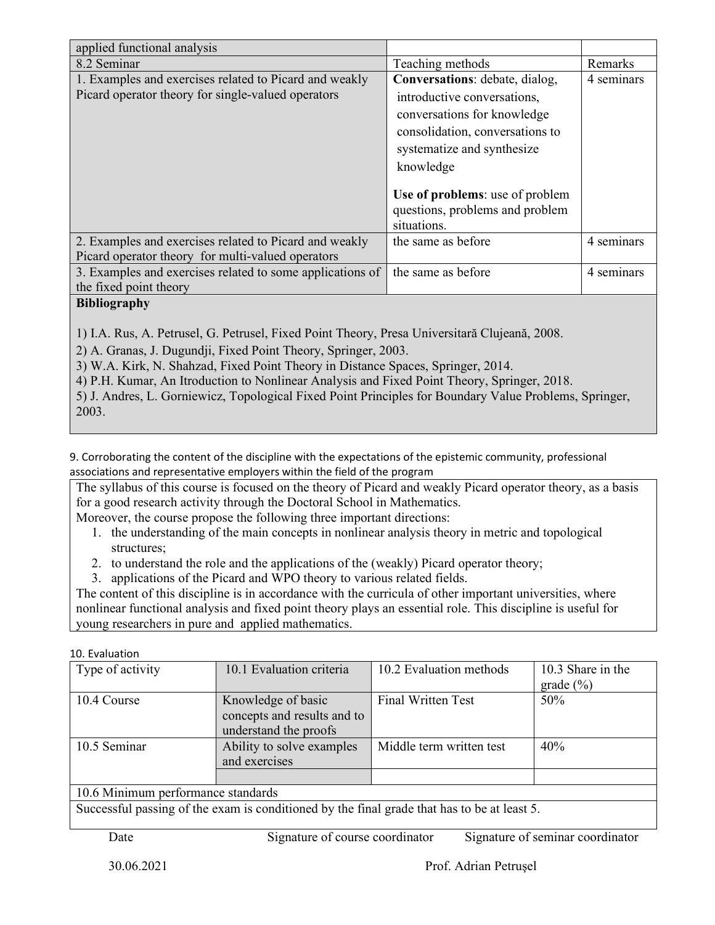| applied functional analysis                               |                                 |            |
|-----------------------------------------------------------|---------------------------------|------------|
| 8.2 Seminar                                               | Teaching methods                | Remarks    |
| 1. Examples and exercises related to Picard and weakly    | Conversations: debate, dialog,  | 4 seminars |
| Picard operator theory for single-valued operators        | introductive conversations,     |            |
|                                                           | conversations for knowledge     |            |
|                                                           | consolidation, conversations to |            |
|                                                           | systematize and synthesize      |            |
|                                                           | knowledge                       |            |
|                                                           |                                 |            |
|                                                           | Use of problems: use of problem |            |
|                                                           | questions, problems and problem |            |
|                                                           | situations.                     |            |
| 2. Examples and exercises related to Picard and weakly    | the same as before              | 4 seminars |
| Picard operator theory for multi-valued operators         |                                 |            |
| 3. Examples and exercises related to some applications of | the same as before              | 4 seminars |
| the fixed point theory                                    |                                 |            |
| D:                                                        |                                 |            |

### **Bibliography**

1) I.A. Rus, A. Petrusel, G. Petrusel, Fixed Point Theory, Presa Universitară Clujeană, 2008.

2) A. Granas, J. Dugundji, Fixed Point Theory, Springer, 2003.

3) W.A. Kirk, N. Shahzad, Fixed Point Theory in Distance Spaces, Springer, 2014.

4) P.H. Kumar, An Itroduction to Nonlinear Analysis and Fixed Point Theory, Springer, 2018.

5) J. Andres, L. Gorniewicz, Topological Fixed Point Principles for Boundary Value Problems, Springer, 2003.

9. Corroborating the content of the discipline with the expectations of the epistemic community, professional associations and representative employers within the field of the program

The syllabus of this course is focused on the theory of Picard and weakly Picard operator theory, as a basis for a good research activity through the Doctoral School in Mathematics.

Moreover, the course propose the following three important directions:

- 1. the understanding of the main concepts in nonlinear analysis theory in metric and topological structures;
- 2. to understand the role and the applications of the (weakly) Picard operator theory;
- 3. applications of the Picard and WPO theory to various related fields.

The content of this discipline is in accordance with the curricula of other important universities, where nonlinear functional analysis and fixed point theory plays an essential role. This discipline is useful for young researchers in pure and applied mathematics.

#### 10. Evaluation

| Type of activity                                                                             | 10.1 Evaluation criteria    | 10.2 Evaluation methods   | 10.3 Share in the |  |  |  |
|----------------------------------------------------------------------------------------------|-----------------------------|---------------------------|-------------------|--|--|--|
|                                                                                              |                             |                           | grade (%)         |  |  |  |
| 10.4 Course                                                                                  | Knowledge of basic          | <b>Final Written Test</b> | 50%               |  |  |  |
|                                                                                              | concepts and results and to |                           |                   |  |  |  |
|                                                                                              | understand the proofs       |                           |                   |  |  |  |
| 10.5 Seminar                                                                                 | Ability to solve examples   | Middle term written test  | 40%               |  |  |  |
|                                                                                              | and exercises               |                           |                   |  |  |  |
|                                                                                              |                             |                           |                   |  |  |  |
| 10.6 Minimum performance standards                                                           |                             |                           |                   |  |  |  |
| Suegaratel negative of the example conditional by the final quade that heads he at least $5$ |                             |                           |                   |  |  |  |

Successful passing of the exam is conditioned by the final grade that has to be at least 5.

Date Signature of course coordinator Signature of seminar coordinator